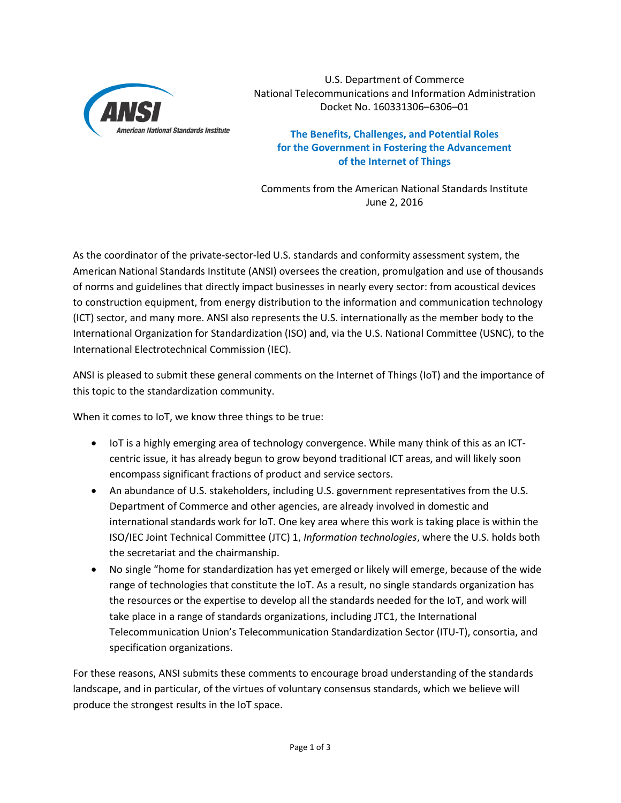

U.S. Department of Commerce National Telecommunications and Information Administration Docket No. 160331306–6306–01

**The Benefits, Challenges, and Potential Roles for the Government in Fostering the Advancement of the Internet of Things**

Comments from the American National Standards Institute June 2, 2016

As the coordinator of the private-sector-led U.S. standards and conformity assessment system, the American National Standards Institute (ANSI) oversees the creation, promulgation and use of thousands of norms and guidelines that directly impact businesses in nearly every sector: from acoustical devices to construction equipment, from energy distribution to the information and communication technology (ICT) sector, and many more. ANSI also represents the U.S. internationally as the member body to the International Organization for Standardization (ISO) and, via the U.S. National Committee (USNC), to the International Electrotechnical Commission (IEC).

ANSI is pleased to submit these general comments on the Internet of Things (IoT) and the importance of this topic to the standardization community.

When it comes to IoT, we know three things to be true:

- IoT is a highly emerging area of technology convergence. While many think of this as an ICTcentric issue, it has already begun to grow beyond traditional ICT areas, and will likely soon encompass significant fractions of product and service sectors.
- An abundance of U.S. stakeholders, including U.S. government representatives from the U.S. Department of Commerce and other agencies, are already involved in domestic and international standards work for IoT. One key area where this work is taking place is within the ISO/IEC Joint Technical Committee (JTC) 1, *Information technologies*, where the U.S. holds both the secretariat and the chairmanship.
- No single "home for standardization has yet emerged or likely will emerge, because of the wide range of technologies that constitute the IoT. As a result, no single standards organization has the resources or the expertise to develop all the standards needed for the IoT, and work will take place in a range of standards organizations, including JTC1, the International Telecommunication Union's Telecommunication Standardization Sector (ITU-T), consortia, and specification organizations.

For these reasons, ANSI submits these comments to encourage broad understanding of the standards landscape, and in particular, of the virtues of voluntary consensus standards, which we believe will produce the strongest results in the IoT space.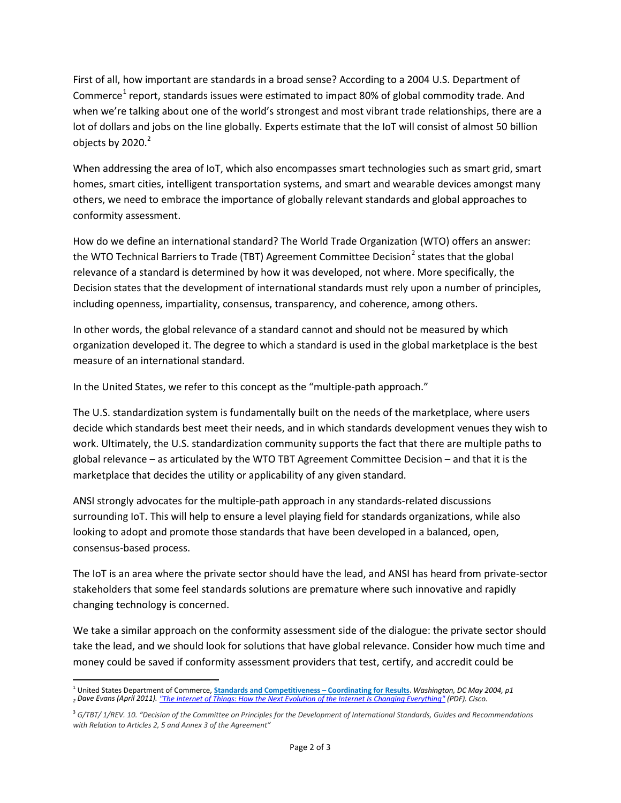First of all, how important are standards in a broad sense? According to a 2004 U.S. Department of Commerce<sup>[1](#page-1-0)</sup> report, standards issues were estimated to impact 80% of global commodity trade. And when we're talking about one of the world's strongest and most vibrant trade relationships, there are a lot of dollars and jobs on the line globally. Experts estimate that the IoT will consist of almost 50 billion objects by  $2020.<sup>2</sup>$ 

When addressing the area of IoT, which also encompasses smart technologies such as smart grid, smart homes, smart cities, intelligent transportation systems, and smart and wearable devices amongst many others, we need to embrace the importance of globally relevant standards and global approaches to conformity assessment.

How do we define an international standard? The World Trade Organization (WTO) offers an answer: the WTO Technical Barriers to Trade (TBT) Agreement Committee Decision<sup>[2](#page-1-1)</sup> states that the global relevance of a standard is determined by how it was developed, not where. More specifically, the Decision states that the development of international standards must rely upon a number of principles, including openness, impartiality, consensus, transparency, and coherence, among others.

In other words, the global relevance of a standard cannot and should not be measured by which organization developed it. The degree to which a standard is used in the global marketplace is the best measure of an international standard.

In the United States, we refer to this concept as the "multiple-path approach."

The U.S. standardization system is fundamentally built on the needs of the marketplace, where users decide which standards best meet their needs, and in which standards development venues they wish to work. Ultimately, the U.S. standardization community supports the fact that there are multiple paths to global relevance – as articulated by the WTO TBT Agreement Committee Decision – and that it is the marketplace that decides the utility or applicability of any given standard.

ANSI strongly advocates for the multiple-path approach in any standards-related discussions surrounding IoT. This will help to ensure a level playing field for standards organizations, while also looking to adopt and promote those standards that have been developed in a balanced, open, consensus-based process.

The IoT is an area where the private sector should have the lead, and ANSI has heard from private-sector stakeholders that some feel standards solutions are premature where such innovative and rapidly changing technology is concerned.

We take a similar approach on the conformity assessment side of the dialogue: the private sector should take the lead, and we should look for solutions that have global relevance. Consider how much time and money could be saved if conformity assessment providers that test, certify, and accredit could be

<span id="page-1-0"></span> <sup>1</sup> United States Department of Commerce, **[Standards and Competitiveness –](http://ita.doc.gov/td/standards/pdf%20files/Standards%20and%20Competitiveness.pdf) Coordinating for Results**. *Washington, DC May 2004, p1 <sup>2</sup> Dave Evans (April 2011)[. "The Internet of Things: How the Next Evolution of the Internet Is Changing Everything"](http://www.cisco.com/c/dam/en_us/about/ac79/docs/innov/IoT_IBSG_0411FINAL.pdf) (PDF). Cisco.*

<span id="page-1-1"></span><sup>3</sup> *G/TBT/ 1/REV. 10. "Decision of the Committee on Principles for the Development of International Standards, Guides and Recommendations with Relation to Articles 2, 5 and Annex 3 of the Agreement"*